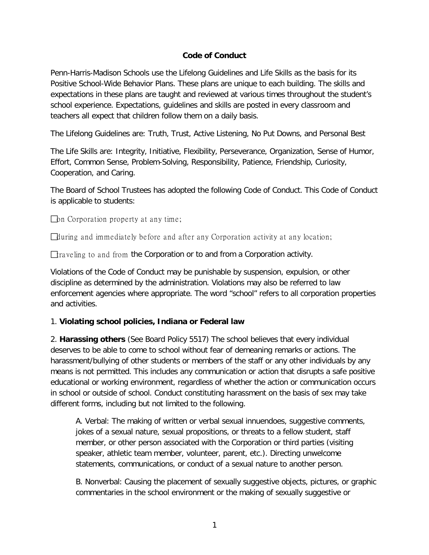### **Code of Conduct**

Penn-Harris-Madison Schools use the Lifelong Guidelines and Life Skills as the basis for its Positive School-Wide Behavior Plans. These plans are unique to each building. The skills and expectations in these plans are taught and reviewed at various times throughout the student's school experience. Expectations, guidelines and skills are posted in every classroom and teachers all expect that children follow them on a daily basis.

The Lifelong Guidelines are: Truth, Trust, Active Listening, No Put Downs, and Personal Best

The Life Skills are: Integrity, Initiative, Flexibility, Perseverance, Organization, Sense of Humor, Effort, Common Sense, Problem-Solving, Responsibility, Patience, Friendship, Curiosity, Cooperation, and Caring.

The Board of School Trustees has adopted the following Code of Conduct. This Code of Conduct is applicable to students:

 $\Box$  on Corporation property at any time;

during and immediately before and after any Corporation activity at any location;

 $\Box$  raveling to and from the Corporation or to and from a Corporation activity.

Violations of the Code of Conduct may be punishable by suspension, expulsion, or other discipline as determined by the administration. Violations may also be referred to law enforcement agencies where appropriate. The word "school" refers to all corporation properties and activities.

### 1. **Violating school policies, Indiana or Federal law**

2. **Harassing others** (See Board Policy 5517) The school believes that every individual deserves to be able to come to school without fear of demeaning remarks or actions. The harassment/bullying of other students or members of the staff or any other individuals by any means is not permitted. This includes any communication or action that disrupts a safe positive educational or working environment, regardless of whether the action or communication occurs in school or outside of school. Conduct constituting harassment on the basis of sex may take different forms, including but not limited to the following.

A. Verbal: The making of written or verbal sexual innuendoes, suggestive comments, jokes of a sexual nature, sexual propositions, or threats to a fellow student, staff member, or other person associated with the Corporation or third parties (visiting speaker, athletic team member, volunteer, parent, etc.). Directing unwelcome statements, communications, or conduct of a sexual nature to another person.

B. Nonverbal: Causing the placement of sexually suggestive objects, pictures, or graphic commentaries in the school environment or the making of sexually suggestive or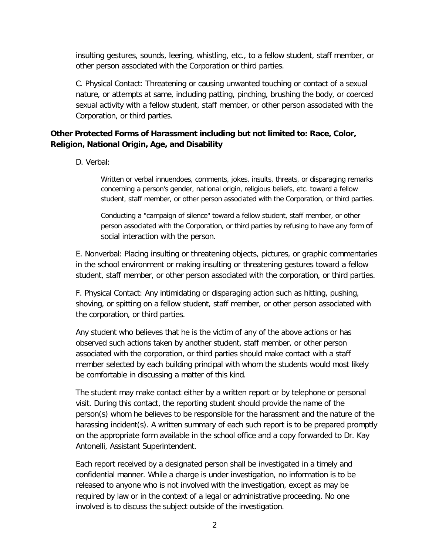insulting gestures, sounds, leering, whistling, etc., to a fellow student, staff member, or other person associated with the Corporation or third parties.

C. Physical Contact: Threatening or causing unwanted touching or contact of a sexual nature, or attempts at same, including patting, pinching, brushing the body, or coerced sexual activity with a fellow student, staff member, or other person associated with the Corporation, or third parties.

## **Other Protected Forms of Harassment including but not limited to: Race, Color, Religion, National Origin, Age, and Disability**

D. Verbal:

Written or verbal innuendoes, comments, jokes, insults, threats, or disparaging remarks concerning a person's gender, national origin, religious beliefs, etc. toward a fellow student, staff member, or other person associated with the Corporation, or third parties.

Conducting a "campaign of silence" toward a fellow student, staff member, or other person associated with the Corporation, or third parties by refusing to have any form of social interaction with the person.

E. Nonverbal: Placing insulting or threatening objects, pictures, or graphic commentaries in the school environment or making insulting or threatening gestures toward a fellow student, staff member, or other person associated with the corporation, or third parties.

F. Physical Contact: Any intimidating or disparaging action such as hitting, pushing, shoving, or spitting on a fellow student, staff member, or other person associated with the corporation, or third parties.

Any student who believes that he is the victim of any of the above actions or has observed such actions taken by another student, staff member, or other person associated with the corporation, or third parties should make contact with a staff member selected by each building principal with whom the students would most likely be comfortable in discussing a matter of this kind.

The student may make contact either by a written report or by telephone or personal visit. During this contact, the reporting student should provide the name of the person(s) whom he believes to be responsible for the harassment and the nature of the harassing incident(s). A written summary of each such report is to be prepared promptly on the appropriate form available in the school office and a copy forwarded to Dr. Kay Antonelli, Assistant Superintendent.

Each report received by a designated person shall be investigated in a timely and confidential manner. While a charge is under investigation, no information is to be released to anyone who is not involved with the investigation, except as may be required by law or in the context of a legal or administrative proceeding. No one involved is to discuss the subject outside of the investigation.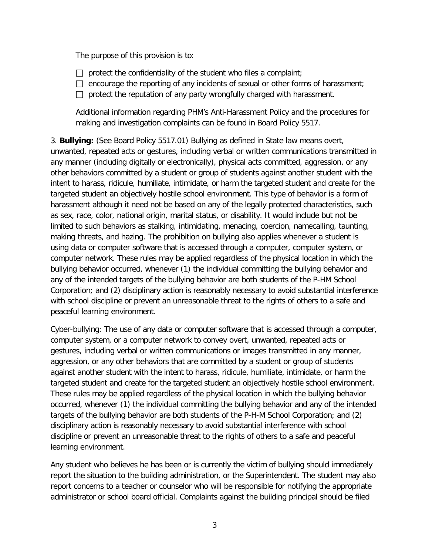The purpose of this provision is to:

- $\Box$  protect the confidentiality of the student who files a complaint;
- $\Box$  encourage the reporting of any incidents of sexual or other forms of harassment;
- $\Box$  protect the reputation of any party wrongfully charged with harassment.

Additional information regarding PHM's Anti-Harassment Policy and the procedures for making and investigation complaints can be found in Board Policy 5517.

3. **Bullying:** (See Board Policy 5517.01) Bullying as defined in State law means overt, unwanted, repeated acts or gestures, including verbal or written communications transmitted in any manner (including digitally or electronically), physical acts committed, aggression, or any other behaviors committed by a student or group of students against another student with the intent to harass, ridicule, humiliate, intimidate, or harm the targeted student and create for the targeted student an objectively hostile school environment. This type of behavior is a form of harassment although it need not be based on any of the legally protected characteristics, such as sex, race, color, national origin, marital status, or disability. It would include but not be limited to such behaviors as stalking, intimidating, menacing, coercion, namecalling, taunting, making threats, and hazing. The prohibition on bullying also applies whenever a student is using data or computer software that is accessed through a computer, computer system, or computer network. These rules may be applied regardless of the physical location in which the bullying behavior occurred, whenever (1) the individual committing the bullying behavior and any of the intended targets of the bullying behavior are both students of the P-HM School Corporation; and (2) disciplinary action is reasonably necessary to avoid substantial interference with school discipline or prevent an unreasonable threat to the rights of others to a safe and peaceful learning environment.

Cyber-bullying: The use of any data or computer software that is accessed through a computer, computer system, or a computer network to convey overt, unwanted, repeated acts or gestures, including verbal or written communications or images transmitted in any manner, aggression, or any other behaviors that are committed by a student or group of students against another student with the intent to harass, ridicule, humiliate, intimidate, or harm the targeted student and create for the targeted student an objectively hostile school environment. These rules may be applied regardless of the physical location in which the bullying behavior occurred, whenever (1) the individual committing the bullying behavior and any of the intended targets of the bullying behavior are both students of the P-H-M School Corporation; and (2) disciplinary action is reasonably necessary to avoid substantial interference with school discipline or prevent an unreasonable threat to the rights of others to a safe and peaceful learning environment.

Any student who believes he has been or is currently the victim of bullying should immediately report the situation to the building administration, or the Superintendent. The student may also report concerns to a teacher or counselor who will be responsible for notifying the appropriate administrator or school board official. Complaints against the building principal should be filed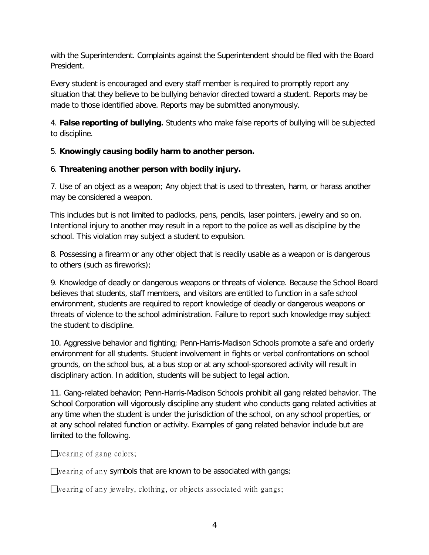with the Superintendent. Complaints against the Superintendent should be filed with the Board President.

Every student is encouraged and every staff member is required to promptly report any situation that they believe to be bullying behavior directed toward a student. Reports may be made to those identified above. Reports may be submitted anonymously.

4. **False reporting of bullying.** Students who make false reports of bullying will be subjected to discipline.

# 5. **Knowingly causing bodily harm to another person.**

### 6. **Threatening another person with bodily injury.**

7. Use of an object as a weapon; Any object that is used to threaten, harm, or harass another may be considered a weapon.

This includes but is not limited to padlocks, pens, pencils, laser pointers, jewelry and so on. Intentional injury to another may result in a report to the police as well as discipline by the school. This violation may subject a student to expulsion.

8. Possessing a firearm or any other object that is readily usable as a weapon or is dangerous to others (such as fireworks);

9. Knowledge of deadly or dangerous weapons or threats of violence. Because the School Board believes that students, staff members, and visitors are entitled to function in a safe school environment, students are required to report knowledge of deadly or dangerous weapons or threats of violence to the school administration. Failure to report such knowledge may subject the student to discipline.

10. Aggressive behavior and fighting; Penn-Harris-Madison Schools promote a safe and orderly environment for all students. Student involvement in fights or verbal confrontations on school grounds, on the school bus, at a bus stop or at any school-sponsored activity will result in disciplinary action. In addition, students will be subject to legal action.

11. Gang-related behavior; Penn-Harris-Madison Schools prohibit all gang related behavior. The School Corporation will vigorously discipline any student who conducts gang related activities at any time when the student is under the jurisdiction of the school, on any school properties, or at any school related function or activity. Examples of gang related behavior include but are limited to the following.

wearing of gang colors;

wearing of any symbols that are known to be associated with gangs;

wearing of any jewelry, clothing, or objects associated with gangs;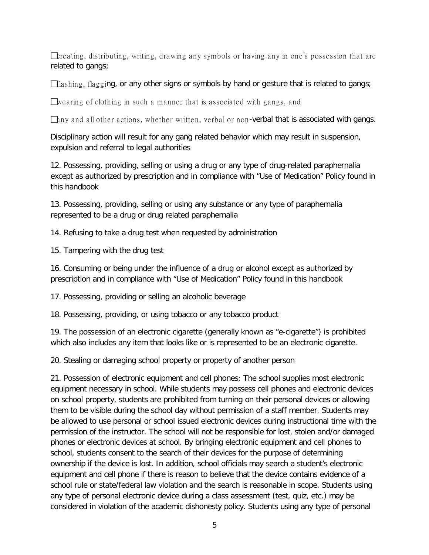$\Box$  creating, distributing, writing, drawing any symbols or having any in one's possession that are related to gangs;

flashing, flagging, or any other signs or symbols by hand or gesture that is related to gangs;

wearing of clothing in such a manner that is associated with gangs, and

 $\Box$ hny and all other actions, whether written, verbal or non-verbal that is associated with gangs.

Disciplinary action will result for any gang related behavior which may result in suspension, expulsion and referral to legal authorities

12. Possessing, providing, selling or using a drug or any type of drug-related paraphernalia except as authorized by prescription and in compliance with "Use of Medication" Policy found in this handbook

13. Possessing, providing, selling or using any substance or any type of paraphernalia represented to be a drug or drug related paraphernalia

14. Refusing to take a drug test when requested by administration

15. Tampering with the drug test

16. Consuming or being under the influence of a drug or alcohol except as authorized by prescription and in compliance with "Use of Medication" Policy found in this handbook

17. Possessing, providing or selling an alcoholic beverage

18. Possessing, providing, or using tobacco or any tobacco product

19. The possession of an electronic cigarette (generally known as "e-cigarette") is prohibited which also includes any item that looks like or is represented to be an electronic cigarette.

20. Stealing or damaging school property or property of another person

21. Possession of electronic equipment and cell phones; The school supplies most electronic equipment necessary in school. While students may possess cell phones and electronic devices on school property, students are prohibited from turning on their personal devices or allowing them to be visible during the school day without permission of a staff member. Students may be allowed to use personal or school issued electronic devices during instructional time with the permission of the instructor. The school will not be responsible for lost, stolen and/or damaged phones or electronic devices at school. By bringing electronic equipment and cell phones to school, students consent to the search of their devices for the purpose of determining ownership if the device is lost. In addition, school officials may search a student's electronic equipment and cell phone if there is reason to believe that the device contains evidence of a school rule or state/federal law violation and the search is reasonable in scope. Students using any type of personal electronic device during a class assessment (test, quiz, etc.) may be considered in violation of the academic dishonesty policy. Students using any type of personal